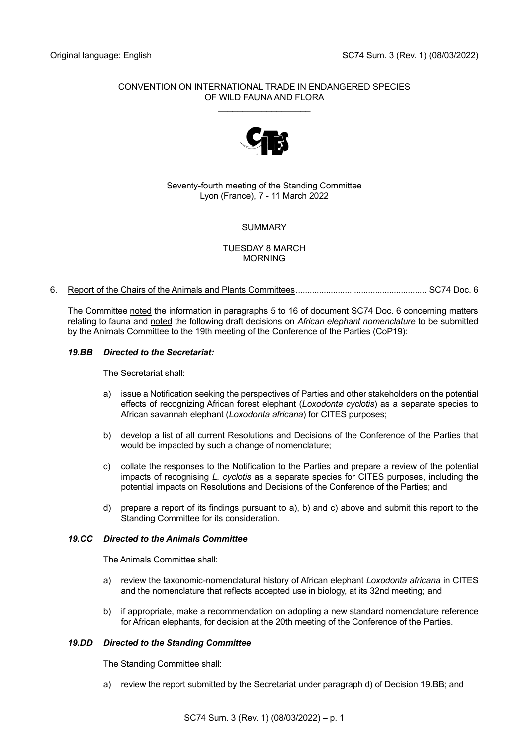# CONVENTION ON INTERNATIONAL TRADE IN ENDANGERED SPECIES OF WILD FAUNA AND FLORA

\_\_\_\_\_\_\_\_\_\_\_\_\_\_\_\_\_\_\_



# Seventy-fourth meeting of the Standing Committee Lyon (France), 7 - 11 March 2022

# SUMMARY

# TUESDAY 8 MARCH MORNING

# 6. Report of the Chairs of the Animals and Plants Committees........................................................ SC74 Doc. 6

The Committee noted the information in paragraphs 5 to 16 of document SC74 Doc. 6 concerning matters relating to fauna and noted the following draft decisions on *African elephant nomenclature* to be submitted by the Animals Committee to the 19th meeting of the Conference of the Parties (CoP19):

# *19.BB Directed to the Secretariat:*

The Secretariat shall:

- a) issue a Notification seeking the perspectives of Parties and other stakeholders on the potential effects of recognizing African forest elephant (*Loxodonta cyclotis*) as a separate species to African savannah elephant (*Loxodonta africana*) for CITES purposes;
- b) develop a list of all current Resolutions and Decisions of the Conference of the Parties that would be impacted by such a change of nomenclature;
- c) collate the responses to the Notification to the Parties and prepare a review of the potential impacts of recognising *L. cyclotis* as a separate species for CITES purposes, including the potential impacts on Resolutions and Decisions of the Conference of the Parties; and
- d) prepare a report of its findings pursuant to a), b) and c) above and submit this report to the Standing Committee for its consideration.

## *19.CC Directed to the Animals Committee*

The Animals Committee shall:

- a) review the taxonomic-nomenclatural history of African elephant *Loxodonta africana* in CITES and the nomenclature that reflects accepted use in biology, at its 32nd meeting; and
- b) if appropriate, make a recommendation on adopting a new standard nomenclature reference for African elephants, for decision at the 20th meeting of the Conference of the Parties.

## *19.DD Directed to the Standing Committee*

The Standing Committee shall:

a) review the report submitted by the Secretariat under paragraph d) of Decision 19.BB; and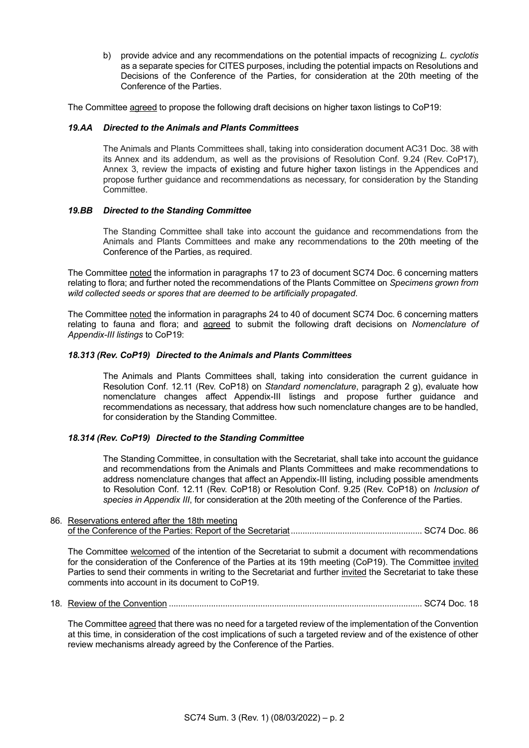b) provide advice and any recommendations on the potential impacts of recognizing *L. cyclotis* as a separate species for CITES purposes, including the potential impacts on Resolutions and Decisions of the Conference of the Parties, for consideration at the 20th meeting of the Conference of the Parties.

The Committee agreed to propose the following draft decisions on higher taxon listings to CoP19:

## *19.AA Directed to the Animals and Plants Committees*

The Animals and Plants Committees shall, taking into consideration document AC31 Doc. 38 with its Annex and its addendum, as well as the provisions of Resolution Conf. 9.24 (Rev. CoP17), Annex 3, review the impacts of existing and future higher taxon listings in the Appendices and propose further guidance and recommendations as necessary, for consideration by the Standing Committee.

# *19.BB Directed to the Standing Committee*

The Standing Committee shall take into account the guidance and recommendations from the Animals and Plants Committees and make any recommendations to the 20th meeting of the Conference of the Parties, as required.

The Committee noted the information in paragraphs 17 to 23 of document SC74 Doc. 6 concerning matters relating to flora; and further noted the recommendations of the Plants Committee on *Specimens grown from wild collected seeds or spores that are deemed to be artificially propagated*.

The Committee noted the information in paragraphs 24 to 40 of document SC74 Doc. 6 concerning matters relating to fauna and flora; and agreed to submit the following draft decisions on *Nomenclature of Appendix-III listings* to CoP19:

## *18.313 (Rev. CoP19) Directed to the Animals and Plants Committees*

The Animals and Plants Committees shall, taking into consideration the current guidance in Resolution Conf. 12.11 (Rev. CoP18) on *Standard nomenclature*, paragraph 2 g), evaluate how nomenclature changes affect Appendix-III listings and propose further guidance and recommendations as necessary, that address how such nomenclature changes are to be handled, for consideration by the Standing Committee.

# *18.314 (Rev. CoP19) Directed to the Standing Committee*

The Standing Committee, in consultation with the Secretariat, shall take into account the guidance and recommendations from the Animals and Plants Committees and make recommendations to address nomenclature changes that affect an Appendix-III listing, including possible amendments to Resolution Conf. 12.11 (Rev. CoP18) or Resolution Conf. 9.25 (Rev. CoP18) on *Inclusion of species in Appendix III*, for consideration at the 20th meeting of the Conference of the Parties.

# 86. Reservations entered after the 18th meeting of the Conference of the Parties: Report of the Secretariat........................................................ SC74 Doc. 86

The Committee welcomed of the intention of the Secretariat to submit a document with recommendations for the consideration of the Conference of the Parties at its 19th meeting (CoP19). The Committee invited Parties to send their comments in writing to the Secretariat and further invited the Secretariat to take these comments into account in its document to CoP19.

# 18. Review of the Convention ............................................................................................................ SC74 Doc. 18

The Committee agreed that there was no need for a targeted review of the implementation of the Convention at this time, in consideration of the cost implications of such a targeted review and of the existence of other review mechanisms already agreed by the Conference of the Parties.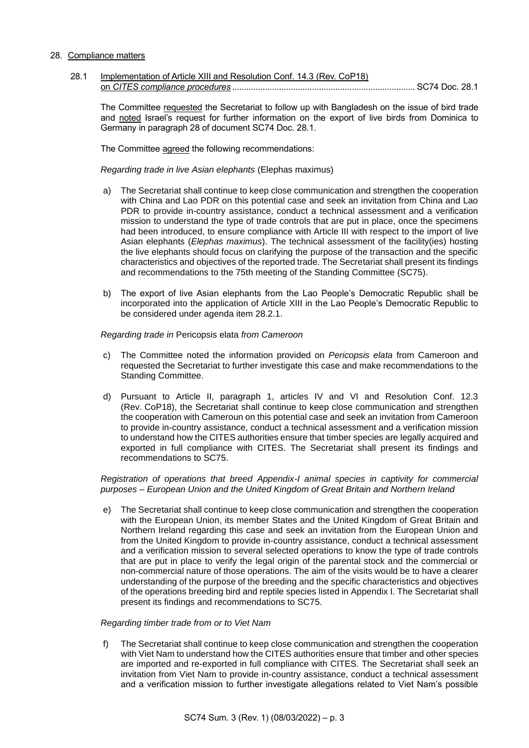## 28. Compliance matters

28.1 Implementation of Article XIII and Resolution Conf. 14.3 (Rev. CoP18) on *CITES compliance procedures* .............................................................................. SC74 Doc. 28.1

The Committee requested the Secretariat to follow up with Bangladesh on the issue of bird trade and noted Israel's request for further information on the export of live birds from Dominica to Germany in paragraph 28 of document SC74 Doc. 28.1.

The Committee agreed the following recommendations:

*Regarding trade in live Asian elephants* (Elephas maximus)

- a) The Secretariat shall continue to keep close communication and strengthen the cooperation with China and Lao PDR on this potential case and seek an invitation from China and Lao PDR to provide in-country assistance, conduct a technical assessment and a verification mission to understand the type of trade controls that are put in place, once the specimens had been introduced, to ensure compliance with Article III with respect to the import of live Asian elephants (*Elephas maximus*). The technical assessment of the facility(ies) hosting the live elephants should focus on clarifying the purpose of the transaction and the specific characteristics and objectives of the reported trade. The Secretariat shall present its findings and recommendations to the 75th meeting of the Standing Committee (SC75).
- b) The export of live Asian elephants from the Lao People's Democratic Republic shall be incorporated into the application of Article XIII in the Lao People's Democratic Republic to be considered under agenda item 28.2.1.

*Regarding trade in* Pericopsis elata *from Cameroon*

- c) The Committee noted the information provided on *Pericopsis elata* from Cameroon and requested the Secretariat to further investigate this case and make recommendations to the Standing Committee.
- d) Pursuant to Article II, paragraph 1, articles IV and VI and Resolution Conf. 12.3 (Rev. CoP18), the Secretariat shall continue to keep close communication and strengthen the cooperation with Cameroun on this potential case and seek an invitation from Cameroon to provide in-country assistance, conduct a technical assessment and a verification mission to understand how the CITES authorities ensure that timber species are legally acquired and exported in full compliance with CITES. The Secretariat shall present its findings and recommendations to SC75.

*Registration of operations that breed Appendix-I animal species in captivity for commercial purposes – European Union and the United Kingdom of Great Britain and Northern Ireland*

e) The Secretariat shall continue to keep close communication and strengthen the cooperation with the European Union, its member States and the United Kingdom of Great Britain and Northern Ireland regarding this case and seek an invitation from the European Union and from the United Kingdom to provide in-country assistance, conduct a technical assessment and a verification mission to several selected operations to know the type of trade controls that are put in place to verify the legal origin of the parental stock and the commercial or non-commercial nature of those operations. The aim of the visits would be to have a clearer understanding of the purpose of the breeding and the specific characteristics and objectives of the operations breeding bird and reptile species listed in Appendix I. The Secretariat shall present its findings and recommendations to SC75.

#### *Regarding timber trade from or to Viet Nam*

f) The Secretariat shall continue to keep close communication and strengthen the cooperation with Viet Nam to understand how the CITES authorities ensure that timber and other species are imported and re-exported in full compliance with CITES. The Secretariat shall seek an invitation from Viet Nam to provide in-country assistance, conduct a technical assessment and a verification mission to further investigate allegations related to Viet Nam's possible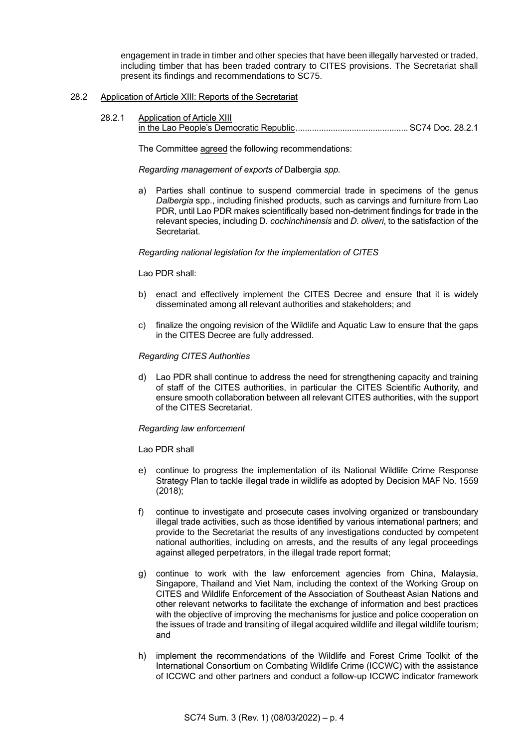engagement in trade in timber and other species that have been illegally harvested or traded, including timber that has been traded contrary to CITES provisions. The Secretariat shall present its findings and recommendations to SC75.

## 28.2 Application of Article XIII: Reports of the Secretariat

28.2.1 Application of Article XIII in the Lao People's Democratic Republic................................................ SC74 Doc. 28.2.1

The Committee agreed the following recommendations:

*Regarding management of exports of* Dalbergia *spp.*

a) Parties shall continue to suspend commercial trade in specimens of the genus *Dalbergia* spp., including finished products, such as carvings and furniture from Lao PDR, until Lao PDR makes scientifically based non-detriment findings for trade in the relevant species, including D*. cochinchinensis* and *D. oliveri*, to the satisfaction of the Secretariat.

## *Regarding national legislation for the implementation of CITES*

## Lao PDR shall:

- b) enact and effectively implement the CITES Decree and ensure that it is widely disseminated among all relevant authorities and stakeholders; and
- c) finalize the ongoing revision of the Wildlife and Aquatic Law to ensure that the gaps in the CITES Decree are fully addressed.

## *Regarding CITES Authorities*

d) Lao PDR shall continue to address the need for strengthening capacity and training of staff of the CITES authorities, in particular the CITES Scientific Authority, and ensure smooth collaboration between all relevant CITES authorities, with the support of the CITES Secretariat.

## *Regarding law enforcement*

Lao PDR shall

- e) continue to progress the implementation of its National Wildlife Crime Response Strategy Plan to tackle illegal trade in wildlife as adopted by Decision MAF No. 1559 (2018);
- f) continue to investigate and prosecute cases involving organized or transboundary illegal trade activities, such as those identified by various international partners; and provide to the Secretariat the results of any investigations conducted by competent national authorities, including on arrests, and the results of any legal proceedings against alleged perpetrators, in the illegal trade report format;
- g) continue to work with the law enforcement agencies from China, Malaysia, Singapore, Thailand and Viet Nam, including the context of the Working Group on CITES and Wildlife Enforcement of the Association of Southeast Asian Nations and other relevant networks to facilitate the exchange of information and best practices with the objective of improving the mechanisms for justice and police cooperation on the issues of trade and transiting of illegal acquired wildlife and illegal wildlife tourism; and
- h) implement the recommendations of the Wildlife and Forest Crime Toolkit of the International Consortium on Combating Wildlife Crime (ICCWC) with the assistance of ICCWC and other partners and conduct a follow-up ICCWC indicator framework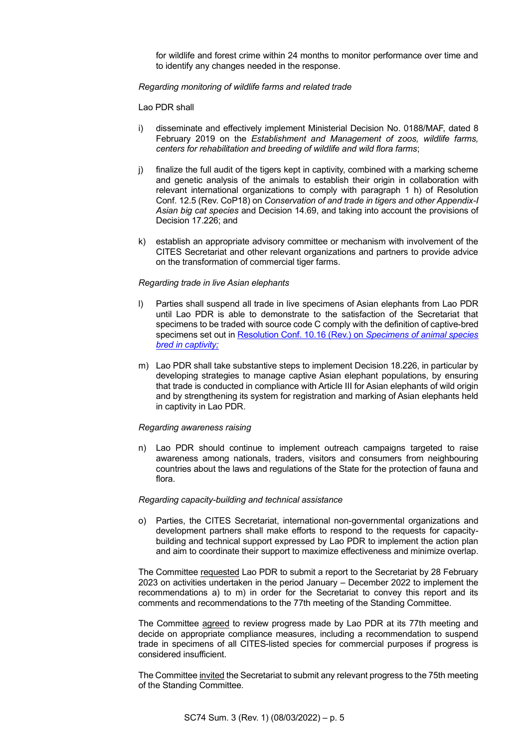for wildlife and forest crime within 24 months to monitor performance over time and to identify any changes needed in the response.

## *Regarding monitoring of wildlife farms and related trade*

Lao PDR shall

- i) disseminate and effectively implement Ministerial Decision No. 0188/MAF, dated 8 February 2019 on the *Establishment and Management of zoos, wildlife farms, centers for rehabilitation and breeding of wildlife and wild flora farms*;
- j) finalize the full audit of the tigers kept in captivity, combined with a marking scheme and genetic analysis of the animals to establish their origin in collaboration with relevant international organizations to comply with paragraph 1 h) of Resolution Conf. 12.5 (Rev. CoP18) on *Conservation of and trade in tigers and other Appendix-I Asian big cat species* and Decision 14.69, and taking into account the provisions of Decision 17.226; and
- k) establish an appropriate advisory committee or mechanism with involvement of the CITES Secretariat and other relevant organizations and partners to provide advice on the transformation of commercial tiger farms.

## *Regarding trade in live Asian elephants*

- l) Parties shall suspend all trade in live specimens of Asian elephants from Lao PDR until Lao PDR is able to demonstrate to the satisfaction of the Secretariat that specimens to be traded with source code C comply with the definition of captive-bred specimens set out in [Resolution Conf. 10.16 \(Rev.\) on](https://cites.org/sites/default/files/document/E-Res-10-16-R11_0.pdf) *Specimens of animal species [bred in captivity;](https://cites.org/sites/default/files/document/E-Res-10-16-R11_0.pdf)*
- m) Lao PDR shall take substantive steps to implement Decision 18.226, in particular by developing strategies to manage captive Asian elephant populations, by ensuring that trade is conducted in compliance with Article III for Asian elephants of wild origin and by strengthening its system for registration and marking of Asian elephants held in captivity in Lao PDR.

## *Regarding awareness raising*

n) Lao PDR should continue to implement outreach campaigns targeted to raise awareness among nationals, traders, visitors and consumers from neighbouring countries about the laws and regulations of the State for the protection of fauna and flora.

## *Regarding capacity-building and technical assistance*

o) Parties, the CITES Secretariat, international non-governmental organizations and development partners shall make efforts to respond to the requests for capacitybuilding and technical support expressed by Lao PDR to implement the action plan and aim to coordinate their support to maximize effectiveness and minimize overlap.

The Committee requested Lao PDR to submit a report to the Secretariat by 28 February 2023 on activities undertaken in the period January – December 2022 to implement the recommendations a) to m) in order for the Secretariat to convey this report and its comments and recommendations to the 77th meeting of the Standing Committee.

The Committee agreed to review progress made by Lao PDR at its 77th meeting and decide on appropriate compliance measures, including a recommendation to suspend trade in specimens of all CITES-listed species for commercial purposes if progress is considered insufficient.

The Committee invited the Secretariat to submit any relevant progress to the 75th meeting of the Standing Committee.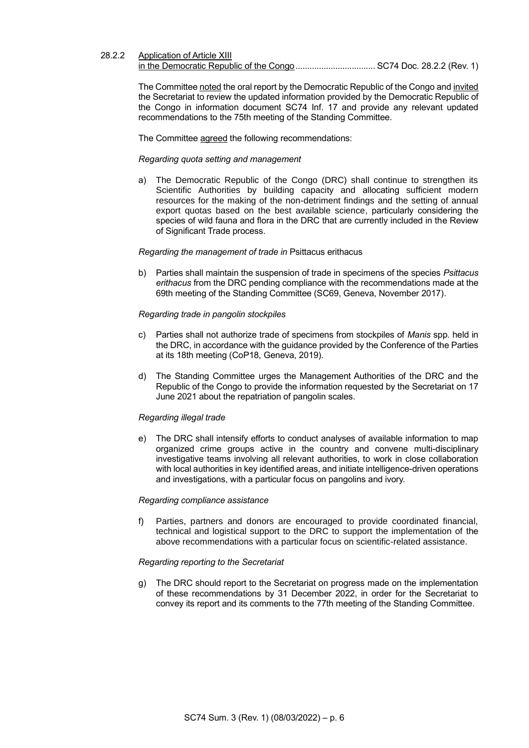## 28.2.2 Application of Article XIII

in the Democratic Republic of the Congo.................................. SC74 Doc. 28.2.2 (Rev. 1)

The Committee noted the oral report by the Democratic Republic of the Congo and invited the Secretariat to review the updated information provided by the Democratic Republic of the Congo in information document SC74 Inf. 17 and provide any relevant updated recommendations to the 75th meeting of the Standing Committee.

The Committee agreed the following recommendations:

#### *Regarding quota setting and management*

a) The Democratic Republic of the Congo (DRC) shall continue to strengthen its Scientific Authorities by building capacity and allocating sufficient modern resources for the making of the non-detriment findings and the setting of annual export quotas based on the best available science, particularly considering the species of wild fauna and flora in the DRC that are currently included in the Review of Significant Trade process.

#### *Regarding the management of trade in* Psittacus erithacus

b) Parties shall maintain the suspension of trade in specimens of the species *Psittacus erithacus* from the DRC pending compliance with the recommendations made at the 69th meeting of the Standing Committee (SC69, Geneva, November 2017).

#### *Regarding trade in pangolin stockpiles*

- c) Parties shall not authorize trade of specimens from stockpiles of *Manis* spp*.* held in the DRC, in accordance with the guidance provided by the Conference of the Parties at its 18th meeting (CoP18, Geneva, 2019).
- d) The Standing Committee urges the Management Authorities of the DRC and the Republic of the Congo to provide the information requested by the Secretariat on 17 June 2021 about the repatriation of pangolin scales.

## *Regarding illegal trade*

e) The DRC shall intensify efforts to conduct analyses of available information to map organized crime groups active in the country and convene multi-disciplinary investigative teams involving all relevant authorities, to work in close collaboration with local authorities in key identified areas, and initiate intelligence-driven operations and investigations, with a particular focus on pangolins and ivory.

#### *Regarding compliance assistance*

f) Parties, partners and donors are encouraged to provide coordinated financial, technical and logistical support to the DRC to support the implementation of the above recommendations with a particular focus on scientific-related assistance.

#### *Regarding reporting to the Secretariat*

g) The DRC should report to the Secretariat on progress made on the implementation of these recommendations by 31 December 2022, in order for the Secretariat to convey its report and its comments to the 77th meeting of the Standing Committee.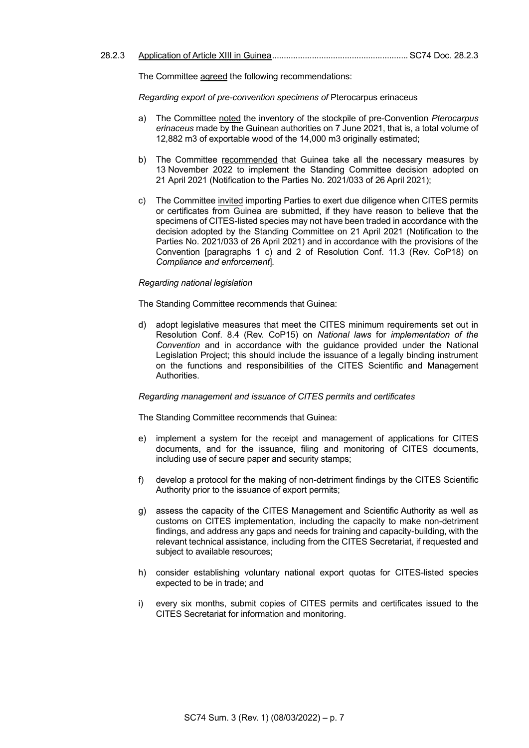The Committee agreed the following recommendations:

*Regarding export of pre-convention specimens of* Pterocarpus erinaceus

- a) The Committee noted the inventory of the stockpile of pre-Convention *Pterocarpus erinaceus* made by the Guinean authorities on 7 June 2021, that is, a total volume of 12,882 m3 of exportable wood of the 14,000 m3 originally estimated;
- b) The Committee recommended that Guinea take all the necessary measures by 13 November 2022 to implement the Standing Committee decision adopted on 21 April 2021 (Notification to the Parties No. 2021/033 of 26 April 2021);
- c) The Committee invited importing Parties to exert due diligence when CITES permits or certificates from Guinea are submitted, if they have reason to believe that the specimens of CITES-listed species may not have been traded in accordance with the decision adopted by the Standing Committee on 21 April 2021 (Notification to the Parties No. 2021/033 of 26 April 2021) and in accordance with the provisions of the Convention [paragraphs 1 c) and 2 of Resolution Conf. 11.3 (Rev. CoP18) on *Compliance and enforcement*]*.*

#### *Regarding national legislation*

The Standing Committee recommends that Guinea:

d) adopt legislative measures that meet the CITES minimum requirements set out in Resolution Conf. 8.4 (Rev. CoP15) on *National laws* for *implementation of the Convention* and in accordance with the guidance provided under the National Legislation Project; this should include the issuance of a legally binding instrument on the functions and responsibilities of the CITES Scientific and Management Authorities.

#### *Regarding management and issuance of CITES permits and certificates*

The Standing Committee recommends that Guinea:

- e) implement a system for the receipt and management of applications for CITES documents, and for the issuance, filing and monitoring of CITES documents, including use of secure paper and security stamps;
- f) develop a protocol for the making of non-detriment findings by the CITES Scientific Authority prior to the issuance of export permits;
- g) assess the capacity of the CITES Management and Scientific Authority as well as customs on CITES implementation, including the capacity to make non-detriment findings, and address any gaps and needs for training and capacity-building, with the relevant technical assistance, including from the CITES Secretariat, if requested and subject to available resources;
- h) consider establishing voluntary national export quotas for CITES-listed species expected to be in trade; and
- i) every six months, submit copies of CITES permits and certificates issued to the CITES Secretariat for information and monitoring.